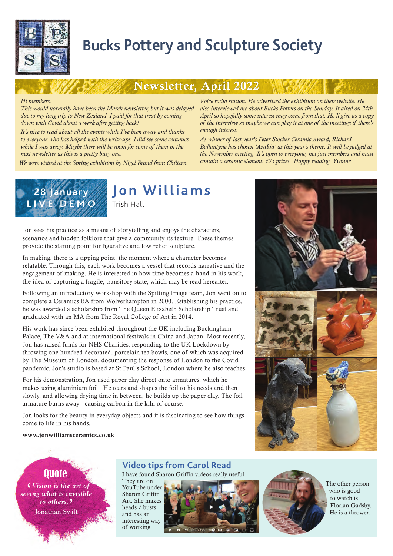

# **Bucks Pottery and Sculpture Society**

Newsletter, April 2022

### *Hi members.*

*This would normally have been the March newsletter, but it was delayed due to my long trip to New Zealand. I paid for that treat by coming down with Covid about a week after getting back!* 

*It's nice to read about all the events while I've been away and thanks to everyone who has helped with the write-ups. I did see some ceramics while I was away. Maybe there will be room for some of them in the next newsletter as this is a pretty busy one.* 

*We were visited at the Spring exhibition by Nigel Brand from Chiltern* 

*Voice radio station. He advertised the exhibition on their website. He also interviewed me about Bucks Potters on the Sunday. It aired on 24th April so hopefully some interest may come from that. He'll give us a copy of the interview so maybe we can play it at one of the meetings if there's enough interest.* 

*As winner of last year's Peter Stocker Ceramic Award, Richard Ballantyne has chosen 'Arabia' as this year's theme. It will be judged at the November meeting. It's open to everyone, not just members and must contain a ceramic element. £75 prize! Happy reading. Yvonne*



# **Jon Williams**

Jon sees his practice as a means of storytelling and enjoys the characters, scenarios and hidden folklore that give a community its texture. These themes provide the starting point for figurative and low relief sculpture.

In making, there is a tipping point, the moment where a character becomes relatable. Through this, each work becomes a vessel that records narrative and the engagement of making. He is interested in how time becomes a hand in his work, the idea of capturing a fragile, transitory state, which may be read hereafter.

Following an introductory workshop with the Spitting Image team, Jon went on to complete a Ceramics BA from Wolverhampton in 2000. Establishing his practice, he was awarded a scholarship from The Queen Elizabeth Scholarship Trust and graduated with an MA from The Royal College of Art in 2014.

His work has since been exhibited throughout the UK including Buckingham Palace, The V&A and at international festivals in China and Japan. Most recently, Jon has raised funds for NHS Charities, responding to the UK Lockdown by throwing one hundred decorated, porcelain tea bowls, one of which was acquired by The Museum of London, documenting the response of London to the Covid pandemic. Jon's studio is based at St Paul's School, London where he also teaches.

For his demonstration, Jon used paper clay direct onto armatures, which he makes using aluminium foil. He tears and shapes the foil to his needs and then slowly, and allowing drying time in between, he builds up the paper clay. The foil armature burns away - causing carbon in the kiln of course.

Jon looks for the beauty in everyday objects and it is fascinating to see how things come to life in his hands.



www.jonwilliamsceramics.co.uk



## **Video tips from Carol Read**

I have found Sharon Griffin videos really useful.

They are on YouTube under Sharon Griffin Art. She makes heads / busts and has an interesting way of working.





The other person who is good to watch is Florian Gadsby. He is a thrower.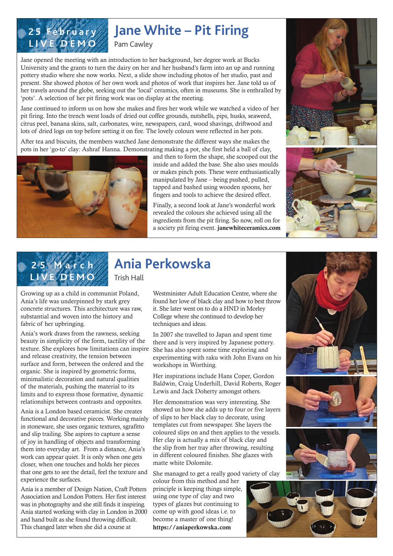

# **Jane White – Pit Firing**

Pam Cawley

Jane opened the meeting with an introduction to her background, her degree work at Bucks University and the grants to turn the dairy on her and her husband's farm into an up and running pottery studio where she now works. Next, a slide show including photos of her studio, past and present. She showed photos of her own work and photos of work that inspires her. Jane told us of her travels around the globe, seeking out the 'local' ceramics, often in museums. She is enthralled by 'pots'. A selection of her pit firing work was on display at the meeting.

Jane continued to inform us on how she makes and fires her work while we watched a video of her pit firing. Into the trench went loads of dried out coffee grounds, nutshells, pips, husks, seaweed, citrus peel, banana skins, salt, carbonates, wire, newspapers, card, wood shavings, driftwood and lots of dried logs on top before setting it on fire. The lovely colours were reflected in her pots.

After tea and biscuits, the members watched Jane demonstrate the different ways she makes the pots in her 'go-to' clay: Ashraf Hanna. Demonstrating making a pot, she first held a ball of clay,



and then to form the shape, she scooped out the inside and added the base. She also uses moulds or makes pinch pots. These were enthusiastically manipulated by Jane – being pushed, pulled, tapped and bashed using wooden spoons, her fingers and tools to achieve the desired effect.

Finally, a second look at Jane's wonderful work revealed the colours she achieved using all the ingredients from the pit firing. So now, roll on for a society pit firing event. janewhiteceramics.com







# **Ania Perkowska**

Trish Hall

Growing up as a child in communist Poland, Ania's life was underpinned by stark grey concrete structures. This architecture was raw, substantial and woven into the history and fabric of her upbringing.

Ania's work draws from the rawness, seeking beauty in simplicity of the form, tactility of the texture. She explores how limitations can inspire and release creativity, the tension between surface and form, between the ordered and the organic. She is inspired by geometric forms, minimalistic decoration and natural qualities of the materials, pushing the material to its limits and to express those formative, dynamic relationships between contrasts and opposites.

Ania is a London based ceramicist. She creates functional and decorative pieces. Working mainly in stoneware, she uses organic textures, sgrafitto and slip trailing. She aspires to capture a sense of joy in handling of objects and transforming them into everyday art. From a distance, Ania's work can appear quiet. It is only when one gets closer, when one touches and holds her pieces that one gets to see the detail, feel the texture and experience the surfaces.

Ania is a member of Design Nation, Craft Potters Association and London Potters. Her first interest was in photography and she still finds it inspiring. Ania started working with clay in London in 2000 and hand built as she found throwing difficult. This changed later when she did a course at

Westminister Adult Education Centre, where she found her love of black clay and how to best throw it. She later went on to do a HND in Morley College where she continued to develop her techniques and ideas.

In 2007 she travelled to Japan and spent time there and is very inspired by Japanese pottery. She has also spent some time exploring and experimenting with raku with John Evans on his workshops in Worthing.

Her inspirations include Hans Coper, Gordon Baldwin, Craig Underhill, David Roberts, Roger Lewis and Jack Doherty amongst others.

Her demonstration was very interesting. She showed us how she adds up to four or five layers of slips to her black clay to decorate, using templates cut from newspaper. She layers the coloured slips on and then applies to the vessels. Her clay is actually a mix of black clay and the slip from her tray after throwing, resulting in different coloured finishes. She glazes with matte white Dolomite.

She managed to get a really good variety of clay colour from this method and her

principle is keeping things simple, using one type of clay and two types of glazes but continuing to come up with good ideas i.e. to become a master of one thing! https://aniaperkowska.com

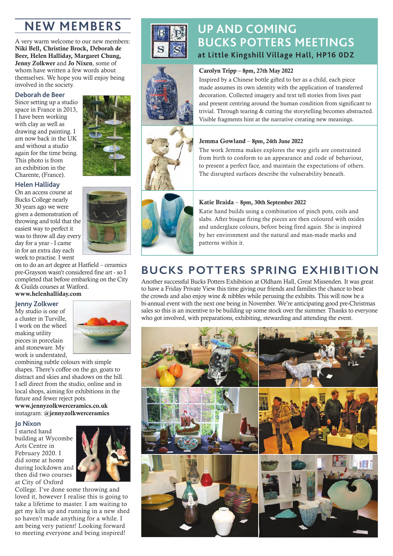# **NEW MEMBERS**

A very warm welcome to our new members: Niki Bell, Christine Brock, Deborah de Beer, Helen Halliday, Margaret Chung, Jenny Zolkwer and Jo Nixen, some of whom have written a few words about themselves. We hope you will enjoy being involved in the society.

### **Deborah de Beer**

Since setting up a studio space in France in 2013, I have been working with clay as well as drawing and painting. I am now back in the UK and without a studio again for the time being. This photo is from an exhibition in the Charente, (France).



Bucks College nearly 30 years ago we were given a demonstration of throwing and told that the easiest way to perfect it was to throw all day every day for a year - I came in for an extra day each week to practise. I went



on to do an art degree at Hatfield – ceramics pre-Grayson wasn't considered fine art - so I completed that before embarking on the City & Guilds courses at Watford. www.helenhalliday.com

## **Jenny Zolkwer**

My studio is one of a cluster in Turville, I work on the wheel making utility pieces in porcelain and stoneware. My work is understated,



combining subtle colours with simple shapes. There's coffee on the go, goats to distract and skies and shadows on the hill. I sell direct from the studio, online and in local shops, aiming for exhibitions in the future and fewer reject pots. www.jennyzolkwerceramics.co.uk instagram: @jennyzolkwerceramics

### **Jo Nixon**

I started hand building at Wycombe Arts Centre in February 2020. I did some at home during lockdown and then did two courses at City of Oxford



College. I've done some throwing and loved it, however I realise this is going to take a lifetime to master. I am waiting to get my kiln up and running in a new shed so haven't made anything for a while. I am being very patient! Looking forward to meeting everyone and being inspired!



# **UP AND COMING BUCKS POTTERS MEETINGS at Little Kingshill Village Hall, HP16 0DZ**

Inspired by a Chinese bottle gifted to her as a child, each piece made assumes its own identity with the application of transferred decoration. Collected imagery and text tell stories from lives past and present centring around the human condition from significant to trivial. Through tearing & cutting the storytelling becomes abstracted. Visible fragments hint at the narrative creating new meanings.





# Katie Braida – 8pm, 30th September 2022

Jemma Gowland – 8pm, 24th June 2022

Carolyn Tripp – 8pm, 27th May 2022

Katie hand builds using a combination of pinch pots, coils and slabs. After bisque firing the pieces are then coloured with oxides and underglaze colours, before being fired again. She is inspired by her environment and the natural and man-made marks and patterns within it.

The work Jemma makes explores the way girls are constrained from birth to conform to an appearance and code of behaviour, to present a perfect face, and maintain the expectations of others. The disrupted surfaces describe the vulnerability beneath.

# **BUCKS POTTERS SPRING EXHIBITION**

Another successful Bucks Potters Exhibition at Oldham Hall, Great Missenden. It was great to have a Friday Private View this time giving our friends and families the chance to beat the crowds and also enjoy wine & nibbles while perusing the exhibits. This will now be a bi-annual event with the next one being in November. We're anticipating good pre-Christmas sales so this is an incentive to be building up some stock over the summer. Thanks to everyone who got involved, with preparations, exhibiting, stewarding and attending the event.